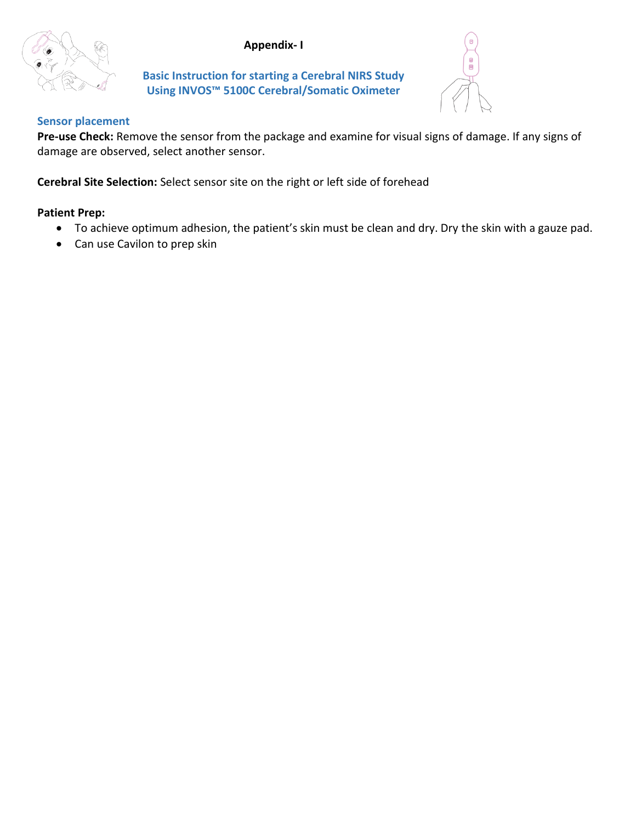# **Appendix- I**



**Basic Instruction for starting a Cerebral NIRS Study Using INVOS™ 5100C Cerebral/Somatic Oximeter**



#### **Sensor placement**

**Pre-use Check:** Remove the sensor from the package and examine for visual signs of damage. If any signs of damage are observed, select another sensor.

**Cerebral Site Selection:** Select sensor site on the right or left side of forehead

### **Patient Prep:**

- To achieve optimum adhesion, the patient's skin must be clean and dry. Dry the skin with a gauze pad.
- Can use Cavilon to prep skin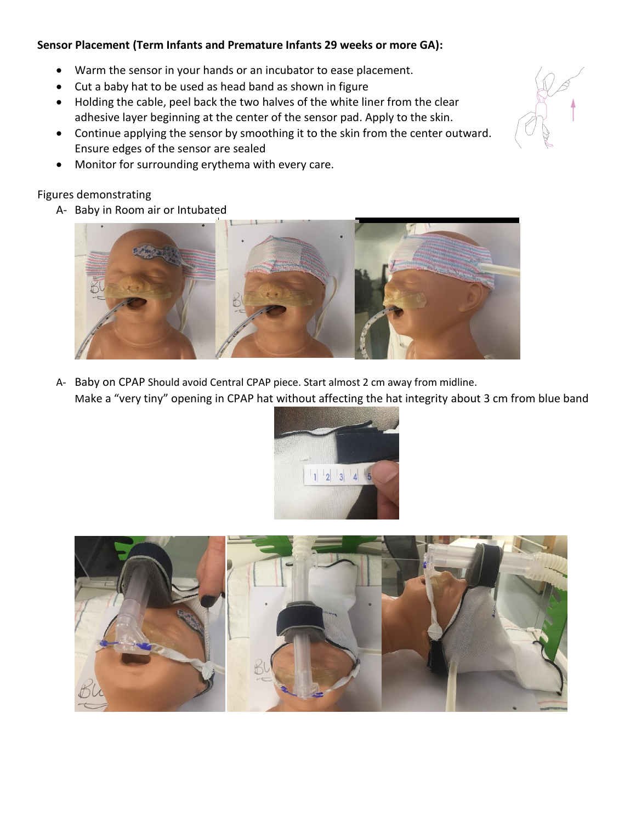# **Sensor Placement (Term Infants and Premature Infants 29 weeks or more GA):**

- Warm the sensor in your hands or an incubator to ease placement.
- Cut a baby hat to be used as head band as shown in figure
- Holding the cable, peel back the two halves of the white liner from the clear adhesive layer beginning at the center of the sensor pad. Apply to the skin.
- Continue applying the sensor by smoothing it to the skin from the center outward. Ensure edges of the sensor are sealed
- Monitor for surrounding erythema with every care.

# Figures demonstrating

A- Baby in Room air or Intubated



A- Baby on CPAP Should avoid Central CPAP piece. Start almost 2 cm away from midline. Make a "very tiny" opening in CPAP hat without affecting the hat integrity about 3 cm from blue band





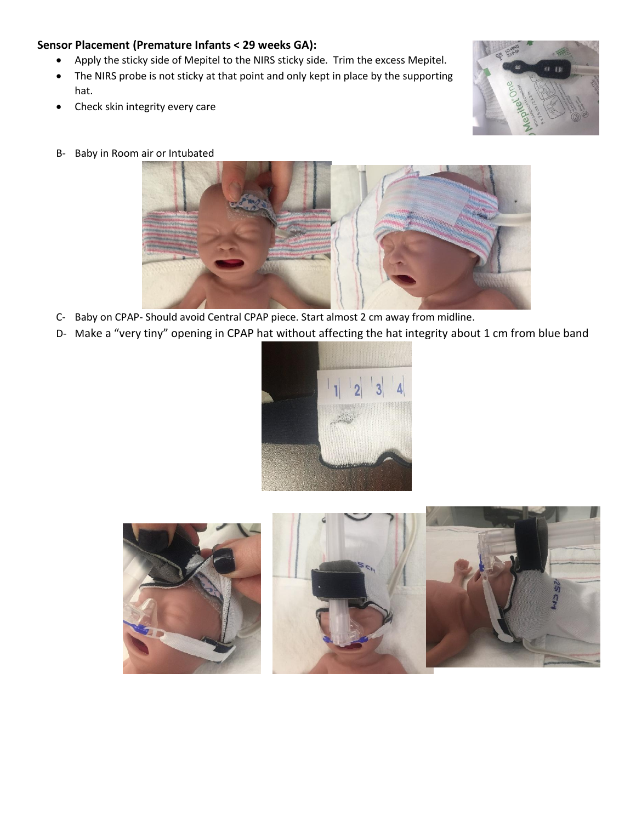#### **Sensor Placement (Premature Infants < 29 weeks GA):**

- Apply the sticky side of Mepitel to the NIRS sticky side. Trim the excess Mepitel.
- The NIRS probe is not sticky at that point and only kept in place by the supporting hat.
- Check skin integrity every care



B- Baby in Room air or Intubated



- C- Baby on CPAP- Should avoid Central CPAP piece. Start almost 2 cm away from midline.
- D- Make a "very tiny" opening in CPAP hat without affecting the hat integrity about 1 cm from blue band